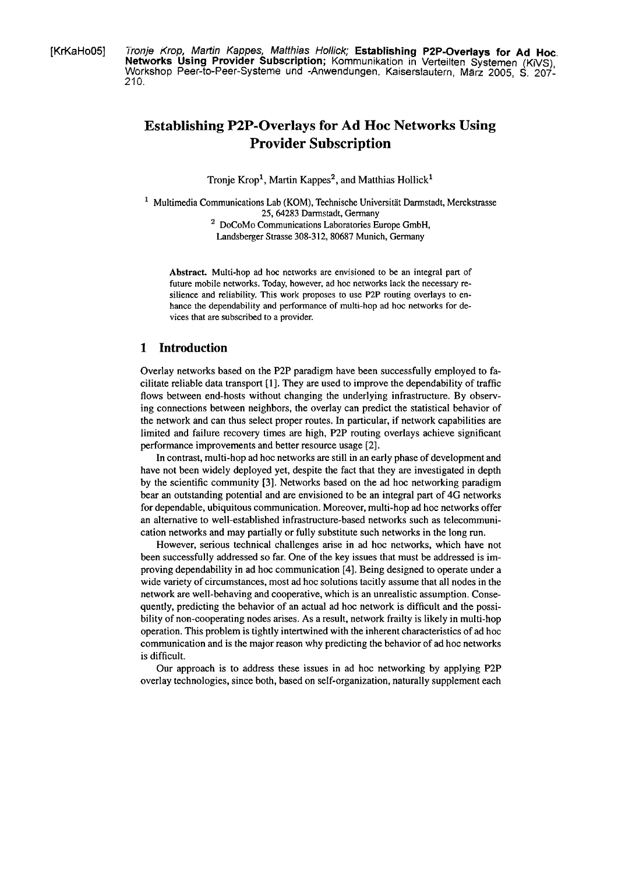[KrKaHoO5] *Tronje Krop, Martin Kappes, Matthias Hollick;* Establishing P2P-Overlays for Ad Hoc. **Networks Using Provider Subscription;** Kommunikation in Verteilten Systemen (KiVS), Workshop Peer-to-Peer-Systeme und -Anwendungen. Kaiserslautern, März 2005, **S.** 207- 210.

# **Establishing P2P-Overlays for Ad Hoc Networks Using Provider Subscription**

Tronje  $Krop<sup>1</sup>$ , Martin  $Kappes<sup>2</sup>$ , and Matthias  $Hollick<sup>1</sup>$ 

- $1$  Multimedia Communications Lab (KOM), Technische Universität Darmstadt, Merckstrasse 25, 64283 Darmstadt, Germany
	- <sup>2</sup> DoCoMo Communications Laboratories Europe GmbH, Landsberger Strasse 308-3 12, 80687 Munich, Germany

**Abstract.** Multi-hop ad hoc networks are envisioned to be an integral part of future mobile networks. Today, however, ad hoc networks lack the necessary resilience and reliability. This work proposes to use **P2P** routing overlays to enhance the dependability and performance of multi-hop ad hoc networks for devices that are subscribed to a provider.

## **1 Introduction**

Overlay networks based on the P2P paradigm have been successfully employed to facilitate reliable data transport **[I].** They are used to improve the dependability of traffic flows between end-hosts without changing the underlying infrastructure. By observing connections between neighbors, the overlay can predict the statistical behavior of the network and can thus select proper routes. In particular, if network capabilities are limited and failure recovery times are high, P2P routing overlays achieve significant performance improvements and better resource usage **[2].** 

In contrast, multi-hop ad hoc networks are still in an early phase of development and have not been widely deployed yet, despite the fact that they are investigated in depth by the scientific community **[3].** Networks based on the ad hoc networking paradigm bear an outstanding potential and are envisioned to be an integral part of 4G networks for dependable, ubiquitous communication. Moreover, multi-hop ad hoc networks offer an alternative to well-established infrastructure-based networks such as telecommunication networks and may partially or fully substitute such networks in the long run.

However, serious technical challenges arise in ad hoc networks, which have not been successfully addressed so far. One of the key issues that must be addressed is improving dependability in ad hoc communication [4]. Being designed to operate under a wide variety of circumstances, most ad hoc solutions tacitly assume that all nodes in the network are well-behaving and cooperative, which is an unrealistic assumption. Consequently, predicting the behavior of an actual ad hoc network is difficult and the possibility of non-cooperating nodes arises. As a result, network frailty is likely in multi-hop operation. This problem is tightly intertwined with the inherent charactenstics of ad hoc communication and is the major reason why predicting the behavior of ad hoc networks is difficult.

Our approach is to address these issues in ad hoc networking by applying P2P overlay technologies, since both, based on self-organization, naturally supplement each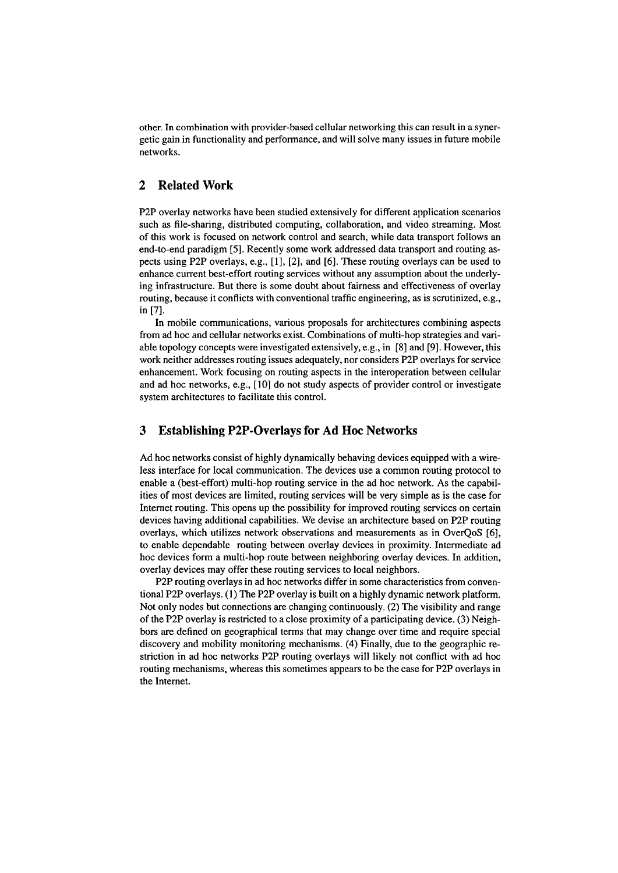other. In combination with provider-based cellular networking this can result in a synergetic gain in functionality and performance, and will solve many issues in future mobile networks.

## **2 Related Work**

P2P overlay networks have been studied extensively for different application scenarios such as file-sharing, distributed computing, collaboration, and video streaming. Most of this work is focused on network control and search, while data transport follows an end-to-end paradigm [5]. Recently some work addressed data transport and routing aspects using P2P overlays, e.g., [I], [2], and [6]. These routing overlays can be used to enhance current best-effort routing sewices without any assumption about the underlying infrastructure. But there is some doubt about fairness and effectiveness of overlay routing, because it conflicts with conventional traffic engineering, as is scrutinized, e.g., in [7].

In mobile communications, various proposals for architectures combining aspects from ad hoc and cellular networks exist. Combinations of multi-hop strategies and variable topology concepts were investigated extensively, e.g., in **[8]** and [9]. However, this work neither addresses routing issues adequately, nor considers P2P overlays for sewice enhancement. Work focusing on routing aspects in the interoperation between cellular and ad hoc networks, e.g., [10] do not study aspects of provider control or investigate system architectures to facilitate this control.

## **3 Establishing P2P-Overlays for Ad Hoc Networks**

Ad hoc networks consist of highly dynamically behaving devices equipped with a wireless interface for local communication. The devices use a common routing protocol to enable a (best-effort) multi-hop routing sewice in the ad hoc network. As the capabilities of most devices are limited, routing sewices will be very simple as is the case for Internet routing. This Opens up the possibility for improved routing services on certain devices having additional capabilities. We devise an architecture based on P2P routing overlays, which utilizes network obsewations and measurements as in OverQoS [6], to enable dependable routing between overlay devices in proximity. Intermediate ad hoc devices form a multi-hop route between neighboring overlay devices. In addition, overlay devices may offer these routing services to local neighbors.

P2P routing overlays in ad hoc networks differ in some characteristics from conventional P2P overlays. (1) The P2P overlay is built on a highly dynamic network platform. Not only nodes but connections are changing continuously. (2) The visibility and range of the P2P overlay is restricted to a close proximity of a participating device. **(3)** Neighbors are defined on geographical terms that may change over time and require special discovery and mobility monitoring mechanisms. (4) Finally, due to the geographic restriction in ad hoc networks P2P routing overlays will likely not conflict with ad hoc routing mechanisms, whereas this sometimes appears to be the case for P2P overlays in the Intemet.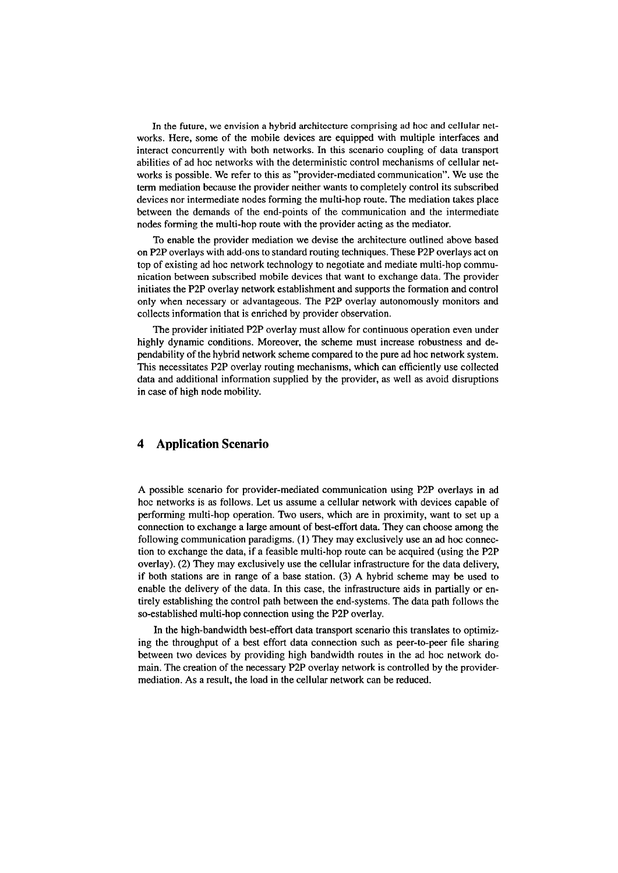In the future, **we** envision a hybrid architecture comprising ad hoc and cellular networks. Here, some of the mobile devices are equipped with multiple interfaces and interact concurrently with both networks. In this scenario coupling of data transport abilities of ad hoc networks with the deterministic control mechanisms of cellular networks is possible. We refer to this as "provider-mediated communication". We use the term mediation because the provider neither wants to completely control its subscribed devices nor intermediate nodes forming the multi-hop route. The mediation takes place between the demands of the end-points of the communication and the intermediate nodes forming the multi-hop route with the provider acting as the mediator.

To enable the provider mediation we devise the architecture outlined above based on P2P overlays with add-ons to standard routing techniques. These P2P overlays act on top of existing ad hoc network technology to negotiate and mediate multi-hop communication between subscribed mobile devices that Want to exchange data. The provider initiates the P2P overlay network establishment and Supports the formation and control only when necessary or advantageous. The P2P overlay autonomously monitors and collects information that is enriched by provider observation.

The provider initiated P2P overlay must allow for continuous operation even under highly dynamic conditions. Moreover, the scheme must increase robustness and dependability of the hybrid network scheme compared to the pure ad hoc network System. This necessitates P2P overlay routing mechanisms, which can efficiently use collected data and additional information supplied by the provider, as well as avoid disruptions in case of high node mobility.

## **4 Application Scenario**

A possible scenario for provider-mediated communication using P2P overlays in ad hoc networks is as follows. Let us assume a cellular network with devices capable of performing multi-hop operation. Two users, which are in proximity, want to set up a connection to exchange a large amount of best-effort data. They can choose among the following communication paradigms. (1) They may exclusively use an ad hoc connection to exchange the data, if a feasible multi-hop route can be acquired (using the P2P overlay). (2) They may exclusively use the cellular infrastructure for the data delivery, if both stations are in range of a base station. **(3)** A hybrid scheme may be used to enable the delivery of the data. In this case, the infrastructure aids in partially or entirely establishing the control path between the end-systems. The data path follows the so-established multi-hop connection using the P2P overlay.

In the high-bandwidth best-effort data transport scenario this translates to optimizing the throughput of a best effort data connection such as peer-to-peer File sharing between two devices by providing high bandwidth routes in the ad hoc network domain. The creation of the necessary P2P overlay network is controlled by the providermediation. As a result, the load in the cellular network can be reduced.